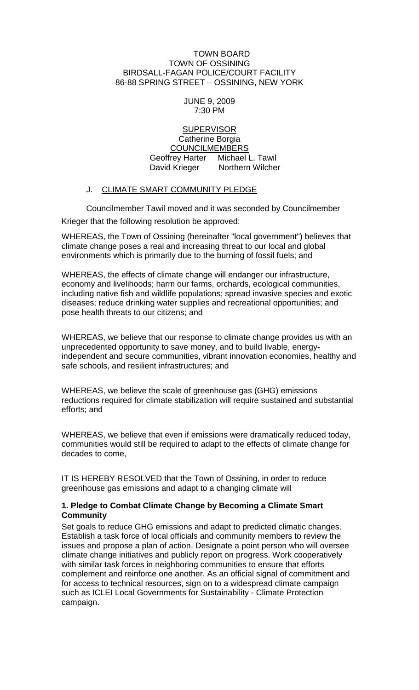#### TOWN BOARD TOWN OF OSSINING BIRDSALL-FAGAN POLICE/COURT FACILITY 86-88 SPRING STREET – OSSINING, NEW YORK

#### JUNE 9, 2009 7:30 PM

#### **SUPERVISOR** Catherine Borgia COUNCILMEMBERS Geoffrey Harter Michael L. Tawil David Krieger Northern Wilcher

### J. CLIMATE SMART COMMUNITY PLEDGE

Councilmember Tawil moved and it was seconded by Councilmember Krieger that the following resolution be approved:

WHEREAS, the Town of Ossining (hereinafter "local government") believes that climate change poses a real and increasing threat to our local and global environments which is primarily due to the burning of fossil fuels; and

WHEREAS, the effects of climate change will endanger our infrastructure, economy and livelihoods; harm our farms, orchards, ecological communities, including native fish and wildlife populations; spread invasive species and exotic diseases; reduce drinking water supplies and recreational opportunities; and pose health threats to our citizens; and

WHEREAS, we believe that our response to climate change provides us with an unprecedented opportunity to save money, and to build livable, energyindependent and secure communities, vibrant innovation economies, healthy and safe schools, and resilient infrastructures; and

WHEREAS, we believe the scale of greenhouse gas (GHG) emissions reductions required for climate stabilization will require sustained and substantial efforts; and

WHEREAS, we believe that even if emissions were dramatically reduced today, communities would still be required to adapt to the effects of climate change for decades to come,

IT IS HEREBY RESOLVED that the Town of Ossining, in order to reduce greenhouse gas emissions and adapt to a changing climate will

### **1. Pledge to Combat Climate Change by Becoming a Climate Smart Community**

Set goals to reduce GHG emissions and adapt to predicted climatic changes. Establish a task force of local officials and community members to review the issues and propose a plan of action. Designate a point person who will oversee climate change initiatives and publicly report on progress. Work cooperatively with similar task forces in neighboring communities to ensure that efforts complement and reinforce one another. As an official signal of commitment and for access to technical resources, sign on to a widespread climate campaign such as ICLEI Local Governments for Sustainability - Climate Protection campaign.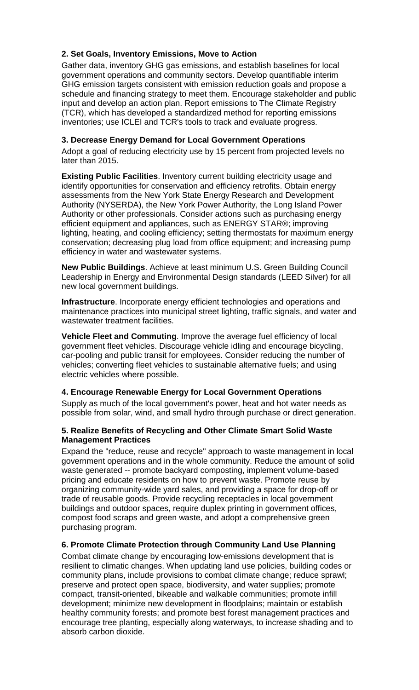# **2. Set Goals, Inventory Emissions, Move to Action**

Gather data, inventory GHG gas emissions, and establish baselines for local government operations and community sectors. Develop quantifiable interim GHG emission targets consistent with emission reduction goals and propose a schedule and financing strategy to meet them. Encourage stakeholder and public input and develop an action plan. Report emissions to The Climate Registry (TCR), which has developed a standardized method for reporting emissions inventories; use ICLEI and TCR's tools to track and evaluate progress.

### **3. Decrease Energy Demand for Local Government Operations**

Adopt a goal of reducing electricity use by 15 percent from projected levels no later than 2015.

**Existing Public Facilities**. Inventory current building electricity usage and identify opportunities for conservation and efficiency retrofits. Obtain energy assessments from the New York State Energy Research and Development Authority (NYSERDA), the New York Power Authority, the Long Island Power Authority or other professionals. Consider actions such as purchasing energy efficient equipment and appliances, such as ENERGY STAR®; improving lighting, heating, and cooling efficiency; setting thermostats for maximum energy conservation; decreasing plug load from office equipment; and increasing pump efficiency in water and wastewater systems.

**New Public Buildings**. Achieve at least minimum U.S. Green Building Council Leadership in Energy and Environmental Design standards (LEED Silver) for all new local government buildings.

**Infrastructure**. Incorporate energy efficient technologies and operations and maintenance practices into municipal street lighting, traffic signals, and water and wastewater treatment facilities.

**Vehicle Fleet and Commuting**. Improve the average fuel efficiency of local government fleet vehicles. Discourage vehicle idling and encourage bicycling, car-pooling and public transit for employees. Consider reducing the number of vehicles; converting fleet vehicles to sustainable alternative fuels; and using electric vehicles where possible.

### **4. Encourage Renewable Energy for Local Government Operations**

Supply as much of the local government's power, heat and hot water needs as possible from solar, wind, and small hydro through purchase or direct generation.

## **5. Realize Benefits of Recycling and Other Climate Smart Solid Waste Management Practices**

Expand the "reduce, reuse and recycle" approach to waste management in local government operations and in the whole community. Reduce the amount of solid waste generated -- promote backyard composting, implement volume-based pricing and educate residents on how to prevent waste. Promote reuse by organizing community-wide yard sales, and providing a space for drop-off or trade of reusable goods. Provide recycling receptacles in local government buildings and outdoor spaces, require duplex printing in government offices, compost food scraps and green waste, and adopt a comprehensive green purchasing program.

## **6. Promote Climate Protection through Community Land Use Planning**

Combat climate change by encouraging low-emissions development that is resilient to climatic changes. When updating land use policies, building codes or community plans, include provisions to combat climate change; reduce sprawl; preserve and protect open space, biodiversity, and water supplies; promote compact, transit-oriented, bikeable and walkable communities; promote infill development; minimize new development in floodplains; maintain or establish healthy community forests; and promote best forest management practices and encourage tree planting, especially along waterways, to increase shading and to absorb carbon dioxide.